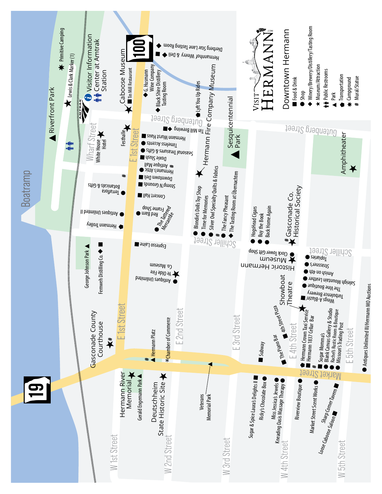